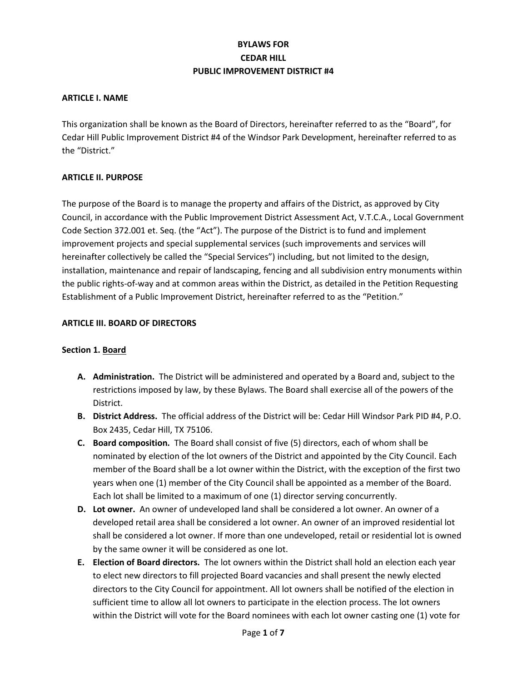# **BYLAWS FOR CEDAR HILL PUBLIC IMPROVEMENT DISTRICT #4**

#### **ARTICLE I. NAME**

This organization shall be known as the Board of Directors, hereinafter referred to as the "Board", for Cedar Hill Public Improvement District #4 of the Windsor Park Development, hereinafter referred to as the "District."

#### **ARTICLE II. PURPOSE**

The purpose of the Board is to manage the property and affairs of the District, as approved by City Council, in accordance with the Public Improvement District Assessment Act, V.T.C.A., Local Government Code Section 372.001 et. Seq. (the "Act"). The purpose of the District is to fund and implement improvement projects and special supplemental services (such improvements and services will hereinafter collectively be called the "Special Services") including, but not limited to the design, installation, maintenance and repair of landscaping, fencing and all subdivision entry monuments within the public rights-of-way and at common areas within the District, as detailed in the Petition Requesting Establishment of a Public Improvement District, hereinafter referred to as the "Petition."

#### **ARTICLE III. BOARD OF DIRECTORS**

#### **Section 1. Board**

- **A. Administration.** The District will be administered and operated by a Board and, subject to the restrictions imposed by law, by these Bylaws. The Board shall exercise all of the powers of the District.
- **B. District Address.** The official address of the District will be: Cedar Hill Windsor Park PID #4, P.O. Box 2435, Cedar Hill, TX 75106.
- **C. Board composition.** The Board shall consist of five (5) directors, each of whom shall be nominated by election of the lot owners of the District and appointed by the City Council. Each member of the Board shall be a lot owner within the District, with the exception of the first two years when one (1) member of the City Council shall be appointed as a member of the Board. Each lot shall be limited to a maximum of one (1) director serving concurrently.
- **D. Lot owner.** An owner of undeveloped land shall be considered a lot owner. An owner of a developed retail area shall be considered a lot owner. An owner of an improved residential lot shall be considered a lot owner. If more than one undeveloped, retail or residential lot is owned by the same owner it will be considered as one lot.
- **E. Election of Board directors.** The lot owners within the District shall hold an election each year to elect new directors to fill projected Board vacancies and shall present the newly elected directors to the City Council for appointment. All lot owners shall be notified of the election in sufficient time to allow all lot owners to participate in the election process. The lot owners within the District will vote for the Board nominees with each lot owner casting one (1) vote for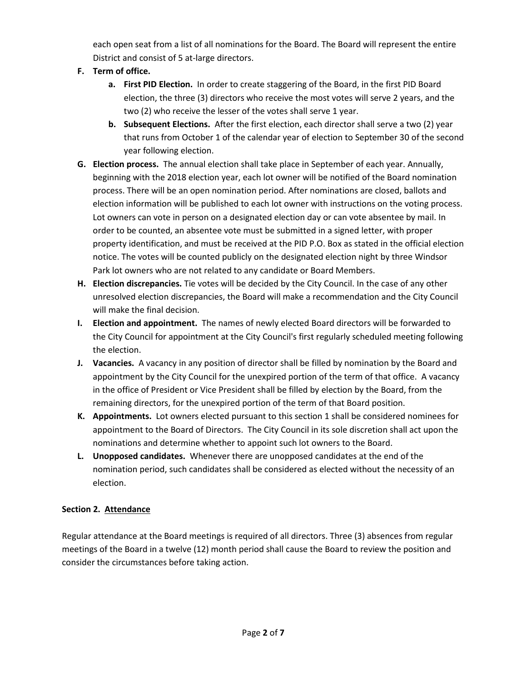each open seat from a list of all nominations for the Board. The Board will represent the entire District and consist of 5 at-large directors.

- **F. Term of office.**
	- **a. First PID Election.** In order to create staggering of the Board, in the first PID Board election, the three (3) directors who receive the most votes will serve 2 years, and the two (2) who receive the lesser of the votes shall serve 1 year.
	- **b. Subsequent Elections.** After the first election, each director shall serve a two (2) year that runs from October 1 of the calendar year of election to September 30 of the second year following election.
- **G. Election process.** The annual election shall take place in September of each year. Annually, beginning with the 2018 election year, each lot owner will be notified of the Board nomination process. There will be an open nomination period. After nominations are closed, ballots and election information will be published to each lot owner with instructions on the voting process. Lot owners can vote in person on a designated election day or can vote absentee by mail. In order to be counted, an absentee vote must be submitted in a signed letter, with proper property identification, and must be received at the PID P.O. Box as stated in the official election notice. The votes will be counted publicly on the designated election night by three Windsor Park lot owners who are not related to any candidate or Board Members.
- **H. Election discrepancies.** Tie votes will be decided by the City Council. In the case of any other unresolved election discrepancies, the Board will make a recommendation and the City Council will make the final decision.
- **I. Election and appointment.** The names of newly elected Board directors will be forwarded to the City Council for appointment at the City Council's first regularly scheduled meeting following the election.
- **J. Vacancies.** A vacancy in any position of director shall be filled by nomination by the Board and appointment by the City Council for the unexpired portion of the term of that office. A vacancy in the office of President or Vice President shall be filled by election by the Board, from the remaining directors, for the unexpired portion of the term of that Board position.
- **K. Appointments.** Lot owners elected pursuant to this section 1 shall be considered nominees for appointment to the Board of Directors. The City Council in its sole discretion shall act upon the nominations and determine whether to appoint such lot owners to the Board.
- **L. Unopposed candidates.** Whenever there are unopposed candidates at the end of the nomination period, such candidates shall be considered as elected without the necessity of an election.

# **Section 2. Attendance**

Regular attendance at the Board meetings is required of all directors. Three (3) absences from regular meetings of the Board in a twelve (12) month period shall cause the Board to review the position and consider the circumstances before taking action.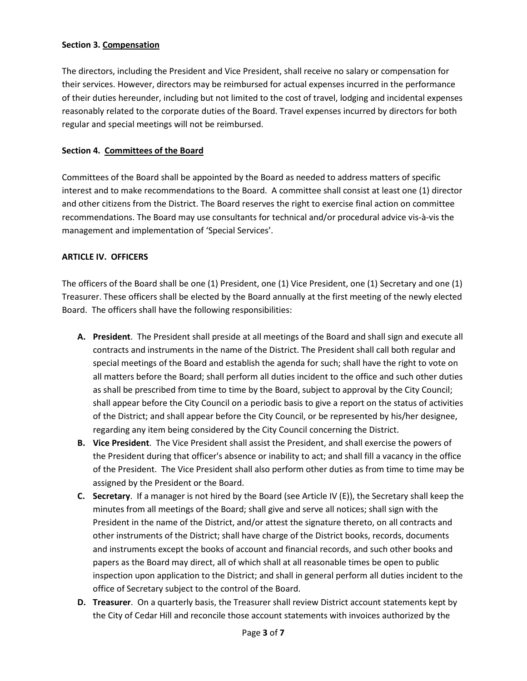#### **Section 3. Compensation**

The directors, including the President and Vice President, shall receive no salary or compensation for their services. However, directors may be reimbursed for actual expenses incurred in the performance of their duties hereunder, including but not limited to the cost of travel, lodging and incidental expenses reasonably related to the corporate duties of the Board. Travel expenses incurred by directors for both regular and special meetings will not be reimbursed.

#### **Section 4. Committees of the Board**

Committees of the Board shall be appointed by the Board as needed to address matters of specific interest and to make recommendations to the Board. A committee shall consist at least one (1) director and other citizens from the District. The Board reserves the right to exercise final action on committee recommendations. The Board may use consultants for technical and/or procedural advice vis-à-vis the management and implementation of 'Special Services'.

#### **ARTICLE IV. OFFICERS**

The officers of the Board shall be one (1) President, one (1) Vice President, one (1) Secretary and one (1) Treasurer. These officers shall be elected by the Board annually at the first meeting of the newly elected Board. The officers shall have the following responsibilities:

- **A. President**. The President shall preside at all meetings of the Board and shall sign and execute all contracts and instruments in the name of the District. The President shall call both regular and special meetings of the Board and establish the agenda for such; shall have the right to vote on all matters before the Board; shall perform all duties incident to the office and such other duties as shall be prescribed from time to time by the Board, subject to approval by the City Council; shall appear before the City Council on a periodic basis to give a report on the status of activities of the District; and shall appear before the City Council, or be represented by his/her designee, regarding any item being considered by the City Council concerning the District.
- **B. Vice President**. The Vice President shall assist the President, and shall exercise the powers of the President during that officer's absence or inability to act; and shall fill a vacancy in the office of the President. The Vice President shall also perform other duties as from time to time may be assigned by the President or the Board.
- **C. Secretary**. If a manager is not hired by the Board (see Article IV (E)), the Secretary shall keep the minutes from all meetings of the Board; shall give and serve all notices; shall sign with the President in the name of the District, and/or attest the signature thereto, on all contracts and other instruments of the District; shall have charge of the District books, records, documents and instruments except the books of account and financial records, and such other books and papers as the Board may direct, all of which shall at all reasonable times be open to public inspection upon application to the District; and shall in general perform all duties incident to the office of Secretary subject to the control of the Board.
- **D. Treasurer**. On a quarterly basis, the Treasurer shall review District account statements kept by the City of Cedar Hill and reconcile those account statements with invoices authorized by the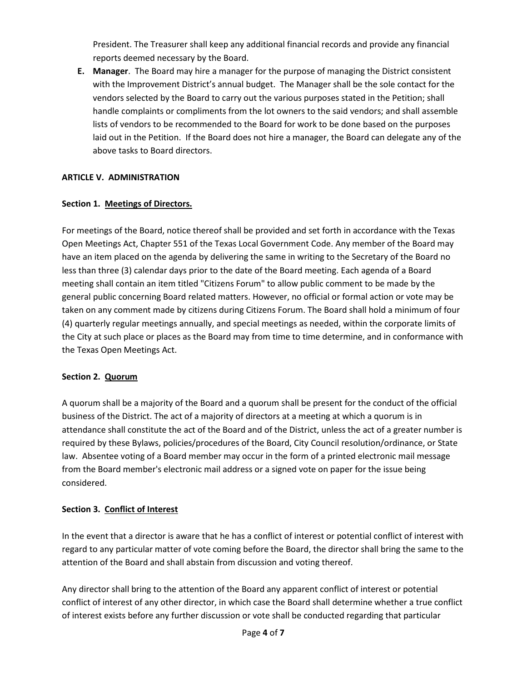President. The Treasurer shall keep any additional financial records and provide any financial reports deemed necessary by the Board.

**E. Manager**. The Board may hire a manager for the purpose of managing the District consistent with the Improvement District's annual budget. The Manager shall be the sole contact for the vendors selected by the Board to carry out the various purposes stated in the Petition; shall handle complaints or compliments from the lot owners to the said vendors; and shall assemble lists of vendors to be recommended to the Board for work to be done based on the purposes laid out in the Petition. If the Board does not hire a manager, the Board can delegate any of the above tasks to Board directors.

### **ARTICLE V. ADMINISTRATION**

### **Section 1. Meetings of Directors.**

For meetings of the Board, notice thereof shall be provided and set forth in accordance with the Texas Open Meetings Act, Chapter 551 of the Texas Local Government Code. Any member of the Board may have an item placed on the agenda by delivering the same in writing to the Secretary of the Board no less than three (3) calendar days prior to the date of the Board meeting. Each agenda of a Board meeting shall contain an item titled "Citizens Forum" to allow public comment to be made by the general public concerning Board related matters. However, no official or formal action or vote may be taken on any comment made by citizens during Citizens Forum. The Board shall hold a minimum of four (4) quarterly regular meetings annually, and special meetings as needed, within the corporate limits of the City at such place or places as the Board may from time to time determine, and in conformance with the Texas Open Meetings Act.

### **Section 2. Quorum**

A quorum shall be a majority of the Board and a quorum shall be present for the conduct of the official business of the District. The act of a majority of directors at a meeting at which a quorum is in attendance shall constitute the act of the Board and of the District, unless the act of a greater number is required by these Bylaws, policies/procedures of the Board, City Council resolution/ordinance, or State law. Absentee voting of a Board member may occur in the form of a printed electronic mail message from the Board member's electronic mail address or a signed vote on paper for the issue being considered.

### **Section 3. Conflict of Interest**

In the event that a director is aware that he has a conflict of interest or potential conflict of interest with regard to any particular matter of vote coming before the Board, the director shall bring the same to the attention of the Board and shall abstain from discussion and voting thereof.

Any director shall bring to the attention of the Board any apparent conflict of interest or potential conflict of interest of any other director, in which case the Board shall determine whether a true conflict of interest exists before any further discussion or vote shall be conducted regarding that particular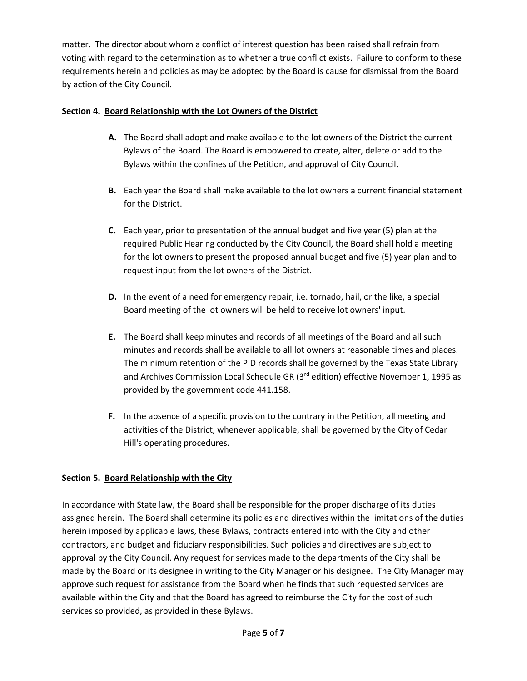matter. The director about whom a conflict of interest question has been raised shall refrain from voting with regard to the determination as to whether a true conflict exists. Failure to conform to these requirements herein and policies as may be adopted by the Board is cause for dismissal from the Board by action of the City Council.

### **Section 4. Board Relationship with the Lot Owners of the District**

- **A.** The Board shall adopt and make available to the lot owners of the District the current Bylaws of the Board. The Board is empowered to create, alter, delete or add to the Bylaws within the confines of the Petition, and approval of City Council.
- **B.** Each year the Board shall make available to the lot owners a current financial statement for the District.
- **C.** Each year, prior to presentation of the annual budget and five year (5) plan at the required Public Hearing conducted by the City Council, the Board shall hold a meeting for the lot owners to present the proposed annual budget and five (5) year plan and to request input from the lot owners of the District.
- **D.** In the event of a need for emergency repair, i.e. tornado, hail, or the like, a special Board meeting of the lot owners will be held to receive lot owners' input.
- **E.** The Board shall keep minutes and records of all meetings of the Board and all such minutes and records shall be available to all lot owners at reasonable times and places. The minimum retention of the PID records shall be governed by the Texas State Library and Archives Commission Local Schedule GR (3<sup>rd</sup> edition) effective November 1, 1995 as provided by the government code 441.158.
- **F.** In the absence of a specific provision to the contrary in the Petition, all meeting and activities of the District, whenever applicable, shall be governed by the City of Cedar Hill's operating procedures.

# **Section 5. Board Relationship with the City**

In accordance with State law, the Board shall be responsible for the proper discharge of its duties assigned herein. The Board shall determine its policies and directives within the limitations of the duties herein imposed by applicable laws, these Bylaws, contracts entered into with the City and other contractors, and budget and fiduciary responsibilities. Such policies and directives are subject to approval by the City Council. Any request for services made to the departments of the City shall be made by the Board or its designee in writing to the City Manager or his designee. The City Manager may approve such request for assistance from the Board when he finds that such requested services are available within the City and that the Board has agreed to reimburse the City for the cost of such services so provided, as provided in these Bylaws.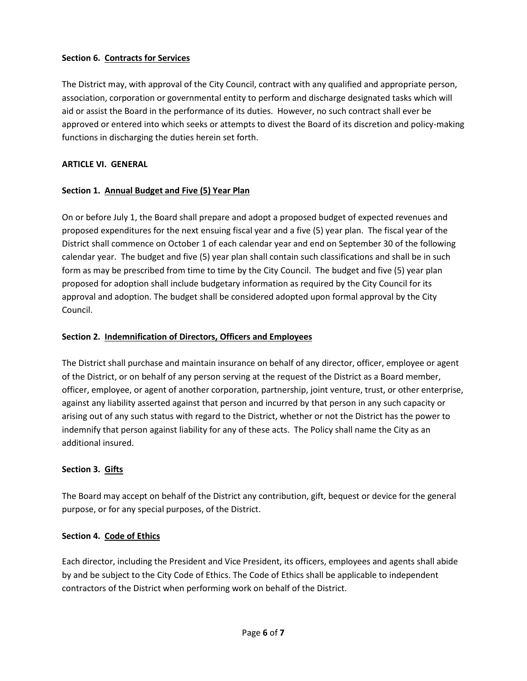### **Section 6. Contracts for Services**

The District may, with approval of the City Council, contract with any qualified and appropriate person, association, corporation or governmental entity to perform and discharge designated tasks which will aid or assist the Board in the performance of its duties. However, no such contract shall ever be approved or entered into which seeks or attempts to divest the Board of its discretion and policy-making functions in discharging the duties herein set forth.

### **ARTICLE VI. GENERAL**

### **Section 1. Annual Budget and Five (5) Year Plan**

On or before July 1, the Board shall prepare and adopt a proposed budget of expected revenues and proposed expenditures for the next ensuing fiscal year and a five (5) year plan. The fiscal year of the District shall commence on October 1 of each calendar year and end on September 30 of the following calendar year. The budget and five (5) year plan shall contain such classifications and shall be in such form as may be prescribed from time to time by the City Council. The budget and five (5) year plan proposed for adoption shall include budgetary information as required by the City Council for its approval and adoption. The budget shall be considered adopted upon formal approval by the City Council.

### **Section 2. Indemnification of Directors, Officers and Employees**

The District shall purchase and maintain insurance on behalf of any director, officer, employee or agent of the District, or on behalf of any person serving at the request of the District as a Board member, officer, employee, or agent of another corporation, partnership, joint venture, trust, or other enterprise, against any liability asserted against that person and incurred by that person in any such capacity or arising out of any such status with regard to the District, whether or not the District has the power to indemnify that person against liability for any of these acts. The Policy shall name the City as an additional insured.

### **Section 3. Gifts**

The Board may accept on behalf of the District any contribution, gift, bequest or device for the general purpose, or for any special purposes, of the District.

### **Section 4. Code of Ethics**

Each director, including the President and Vice President, its officers, employees and agents shall abide by and be subject to the City Code of Ethics. The Code of Ethics shall be applicable to independent contractors of the District when performing work on behalf of the District.